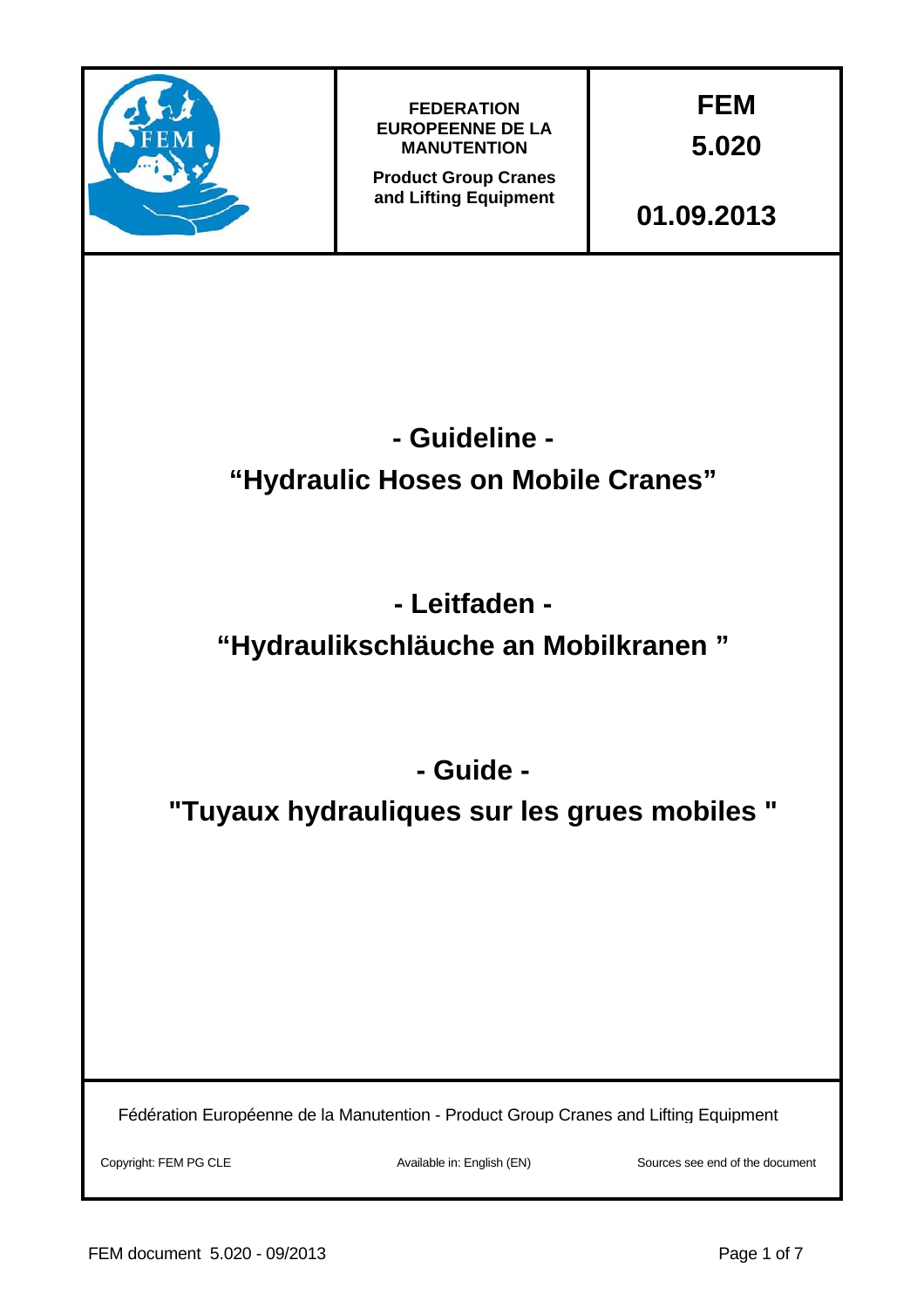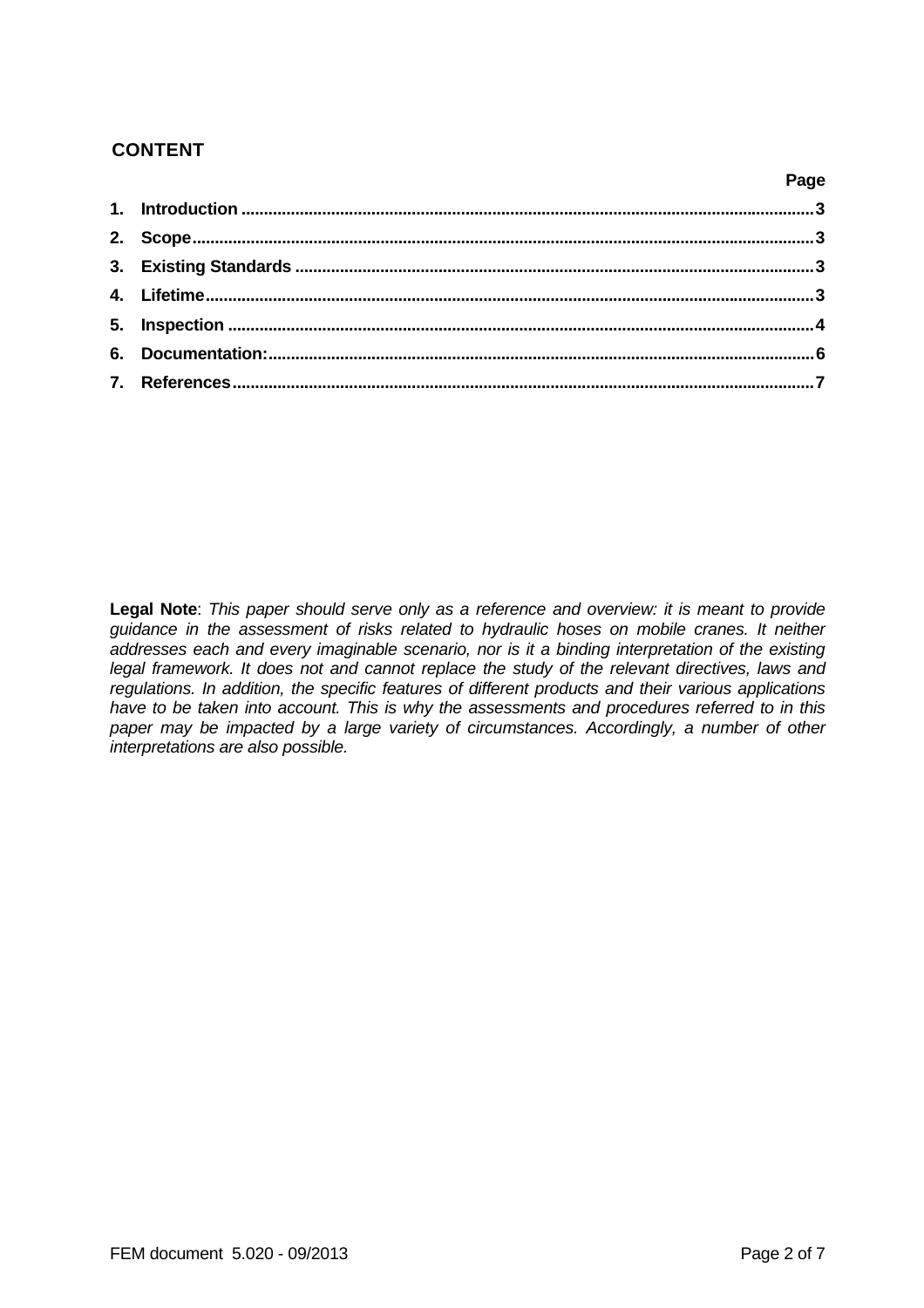# **CONTENT**

| <u>i aye a shekara ta ƙasar Ingila.</u> |  |
|-----------------------------------------|--|
|                                         |  |
|                                         |  |
|                                         |  |
|                                         |  |
|                                         |  |
|                                         |  |
|                                         |  |
|                                         |  |

**Legal Note**: *This paper should serve only as a reference and overview: it is meant to provide guidance in the assessment of risks related to hydraulic hoses on mobile cranes. It neither addresses each and every imaginable scenario, nor is it a binding interpretation of the existing legal framework. It does not and cannot replace the study of the relevant directives, laws and regulations. In addition, the specific features of different products and their various applications have to be taken into account. This is why the assessments and procedures referred to in this*  paper may be impacted by a large variety of circumstances. Accordingly, a number of other *interpretations are also possible.* 

**Page**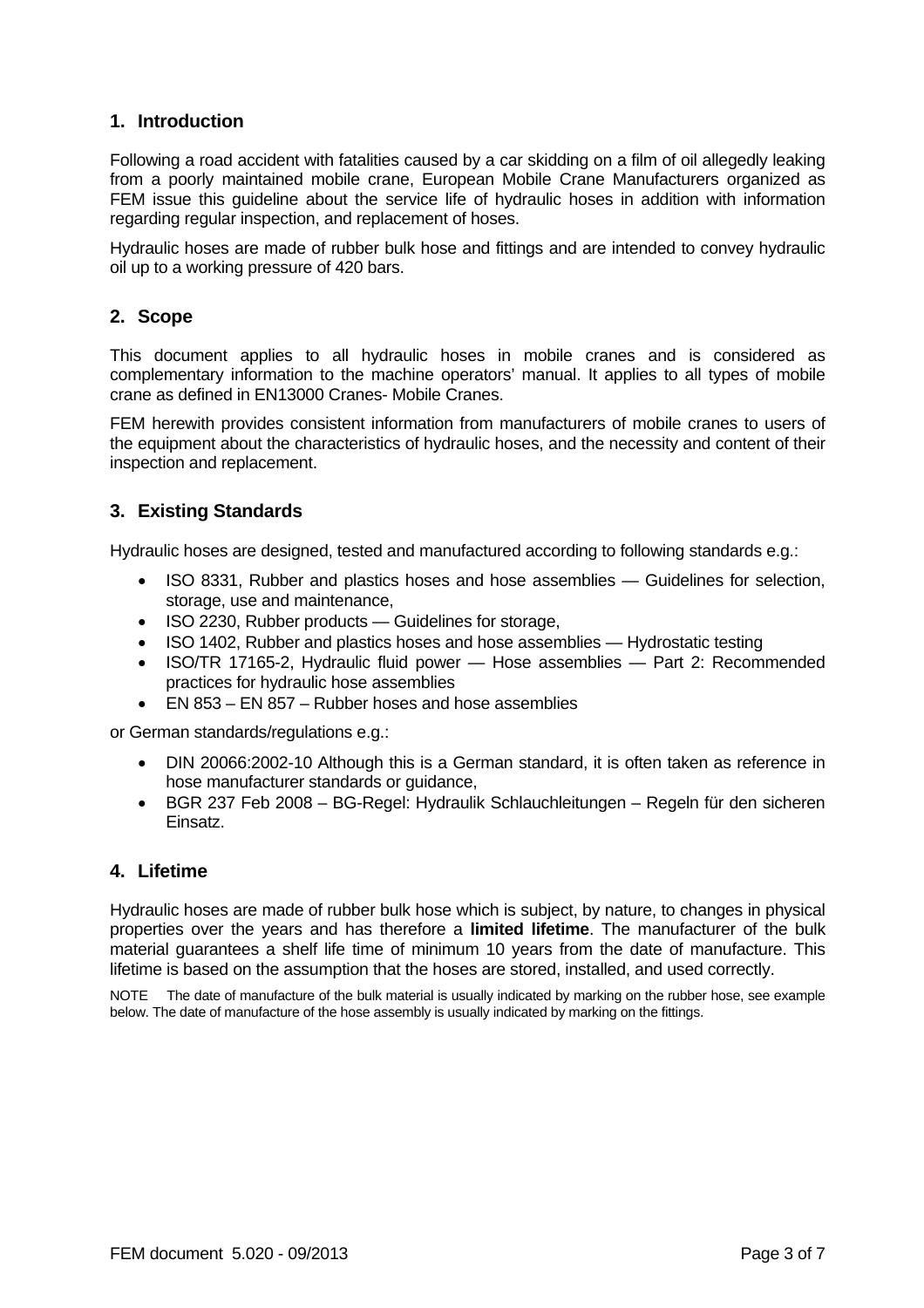# **1. Introduction**

Following a road accident with fatalities caused by a car skidding on a film of oil allegedly leaking from a poorly maintained mobile crane, European Mobile Crane Manufacturers organized as FEM issue this guideline about the service life of hydraulic hoses in addition with information regarding regular inspection, and replacement of hoses.

Hydraulic hoses are made of rubber bulk hose and fittings and are intended to convey hydraulic oil up to a working pressure of 420 bars.

## **2. Scope**

This document applies to all hydraulic hoses in mobile cranes and is considered as complementary information to the machine operators' manual. It applies to all types of mobile crane as defined in EN13000 Cranes- Mobile Cranes.

FEM herewith provides consistent information from manufacturers of mobile cranes to users of the equipment about the characteristics of hydraulic hoses, and the necessity and content of their inspection and replacement.

# **3. Existing Standards**

Hydraulic hoses are designed, tested and manufactured according to following standards e.g.:

- ISO 8331, Rubber and plastics hoses and hose assemblies Guidelines for selection, storage, use and maintenance,
- ISO 2230, Rubber products Guidelines for storage,
- ISO 1402, Rubber and plastics hoses and hose assemblies Hydrostatic testing
- ISO/TR 17165-2, Hydraulic fluid power Hose assemblies Part 2: Recommended practices for hydraulic hose assemblies
- EN 853 EN 857 Rubber hoses and hose assemblies

or German standards/regulations e.g.:

- DIN 20066:2002-10 Although this is a German standard, it is often taken as reference in hose manufacturer standards or guidance,
- BGR 237 Feb 2008 BG-Regel: Hydraulik Schlauchleitungen Regeln für den sicheren Einsatz.

### **4. Lifetime**

Hydraulic hoses are made of rubber bulk hose which is subject, by nature, to changes in physical properties over the years and has therefore a **limited lifetime**. The manufacturer of the bulk material guarantees a shelf life time of minimum 10 years from the date of manufacture. This lifetime is based on the assumption that the hoses are stored, installed, and used correctly.

NOTE The date of manufacture of the bulk material is usually indicated by marking on the rubber hose, see example below. The date of manufacture of the hose assembly is usually indicated by marking on the fittings.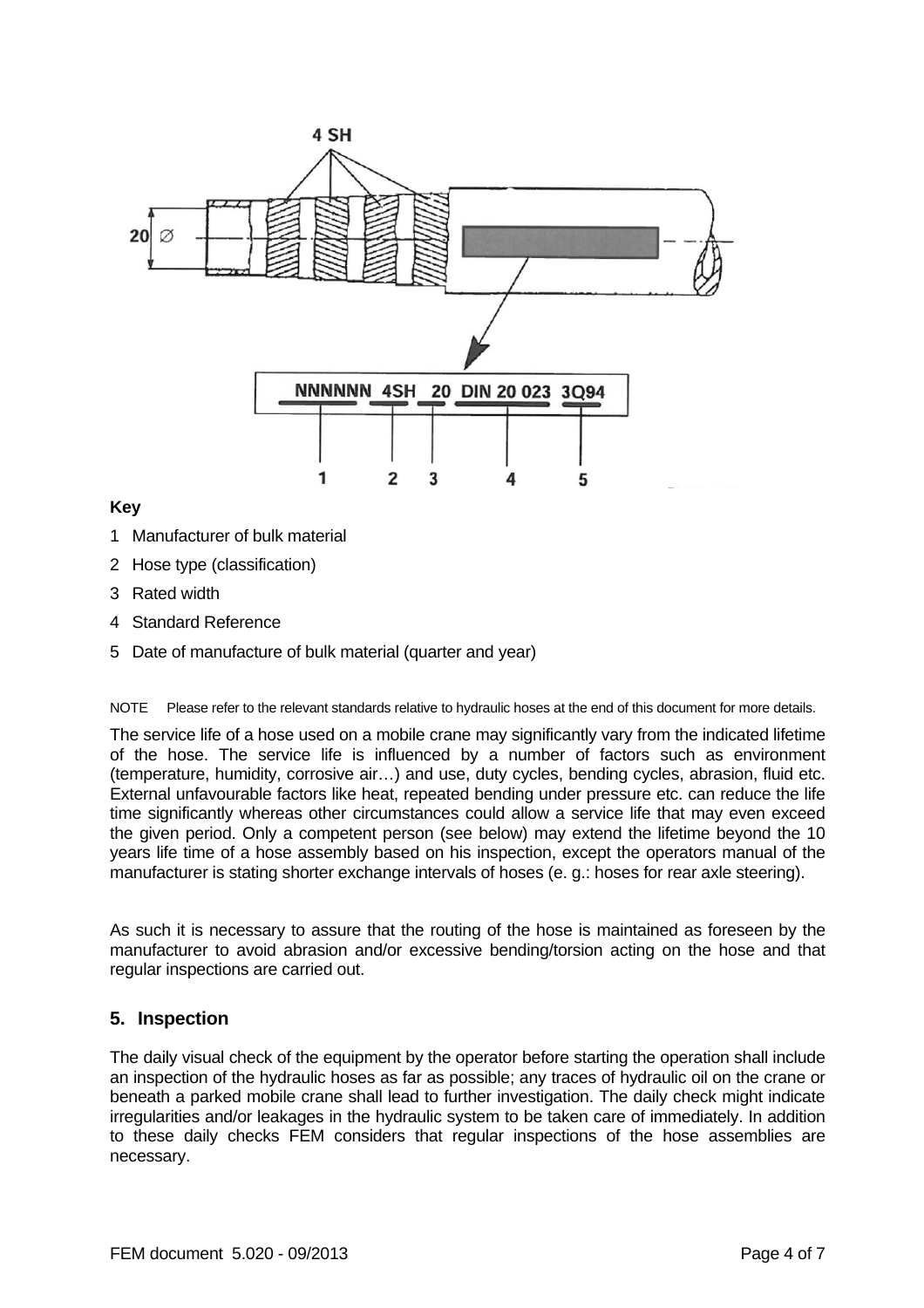

**Key**

- 1 Manufacturer of bulk material
- 2 Hose type (classification)
- 3 Rated width
- 4 Standard Reference
- 5 Date of manufacture of bulk material (quarter and year)

NOTE Please refer to the relevant standards relative to hydraulic hoses at the end of this document for more details.

The service life of a hose used on a mobile crane may significantly vary from the indicated lifetime of the hose. The service life is influenced by a number of factors such as environment (temperature, humidity, corrosive air…) and use, duty cycles, bending cycles, abrasion, fluid etc. External unfavourable factors like heat, repeated bending under pressure etc. can reduce the life time significantly whereas other circumstances could allow a service life that may even exceed the given period. Only a competent person (see below) may extend the lifetime beyond the 10 years life time of a hose assembly based on his inspection, except the operators manual of the manufacturer is stating shorter exchange intervals of hoses (e. g.: hoses for rear axle steering).

As such it is necessary to assure that the routing of the hose is maintained as foreseen by the manufacturer to avoid abrasion and/or excessive bending/torsion acting on the hose and that regular inspections are carried out.

### **5. Inspection**

The daily visual check of the equipment by the operator before starting the operation shall include an inspection of the hydraulic hoses as far as possible; any traces of hydraulic oil on the crane or beneath a parked mobile crane shall lead to further investigation. The daily check might indicate irregularities and/or leakages in the hydraulic system to be taken care of immediately. In addition to these daily checks FEM considers that regular inspections of the hose assemblies are necessary.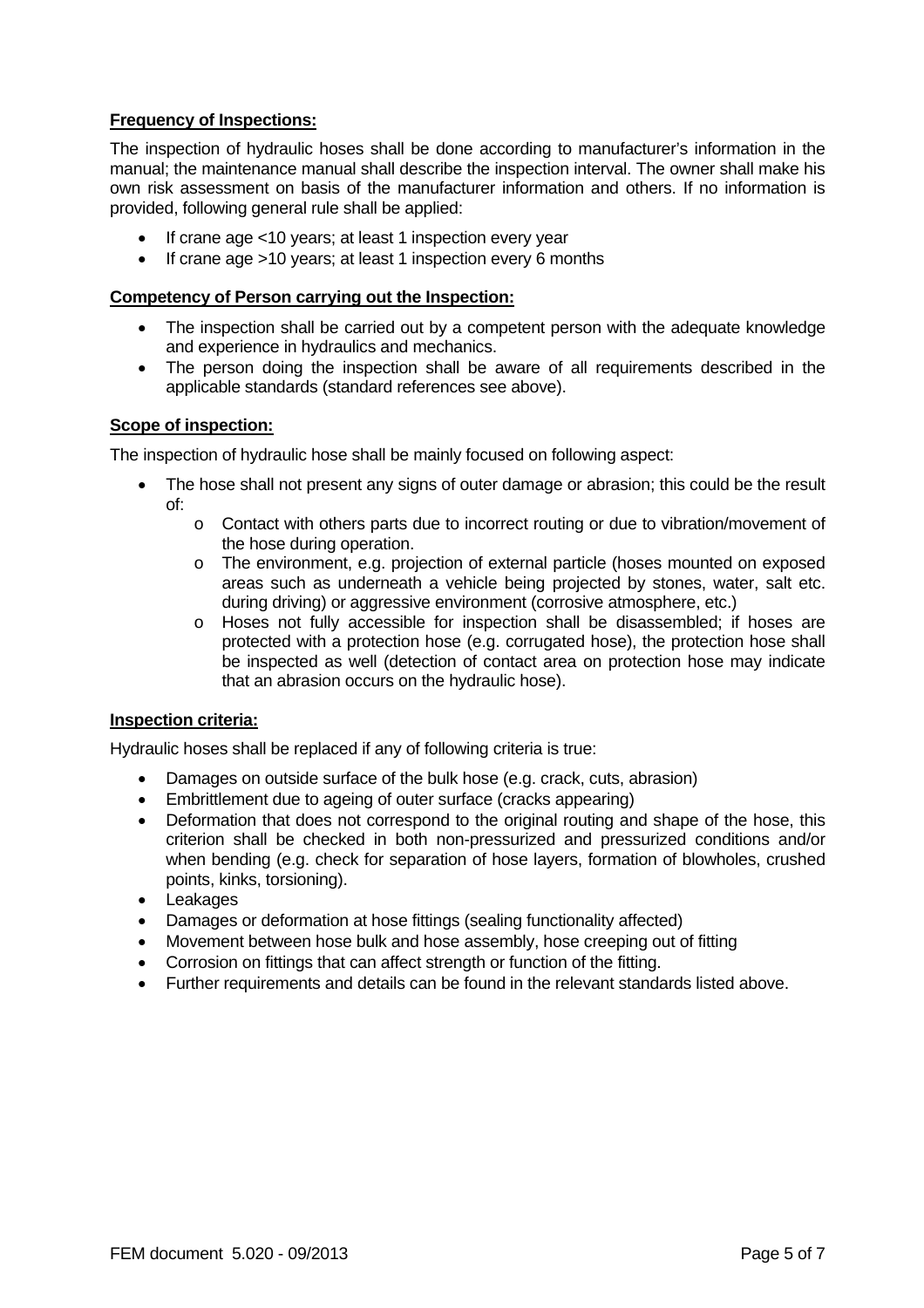# **Frequency of Inspections:**

The inspection of hydraulic hoses shall be done according to manufacturer's information in the manual; the maintenance manual shall describe the inspection interval. The owner shall make his own risk assessment on basis of the manufacturer information and others. If no information is provided, following general rule shall be applied:

- If crane age <10 years; at least 1 inspection every year
- If crane age >10 years; at least 1 inspection every 6 months

## **Competency of Person carrying out the Inspection:**

- The inspection shall be carried out by a competent person with the adequate knowledge and experience in hydraulics and mechanics.
- The person doing the inspection shall be aware of all requirements described in the applicable standards (standard references see above).

# **Scope of inspection:**

The inspection of hydraulic hose shall be mainly focused on following aspect:

- The hose shall not present any signs of outer damage or abrasion; this could be the result of:
	- o Contact with others parts due to incorrect routing or due to vibration/movement of the hose during operation.
	- o The environment, e.g. projection of external particle (hoses mounted on exposed areas such as underneath a vehicle being projected by stones, water, salt etc. during driving) or aggressive environment (corrosive atmosphere, etc.)
	- o Hoses not fully accessible for inspection shall be disassembled; if hoses are protected with a protection hose (e.g. corrugated hose), the protection hose shall be inspected as well (detection of contact area on protection hose may indicate that an abrasion occurs on the hydraulic hose).

### **Inspection criteria:**

Hydraulic hoses shall be replaced if any of following criteria is true:

- Damages on outside surface of the bulk hose (e.g. crack, cuts, abrasion)
- Embrittlement due to ageing of outer surface (cracks appearing)
- Deformation that does not correspond to the original routing and shape of the hose, this criterion shall be checked in both non-pressurized and pressurized conditions and/or when bending (e.g. check for separation of hose layers, formation of blowholes, crushed points, kinks, torsioning).
- Leakages
- Damages or deformation at hose fittings (sealing functionality affected)
- Movement between hose bulk and hose assembly, hose creeping out of fitting
- Corrosion on fittings that can affect strength or function of the fitting.
- Further requirements and details can be found in the relevant standards listed above.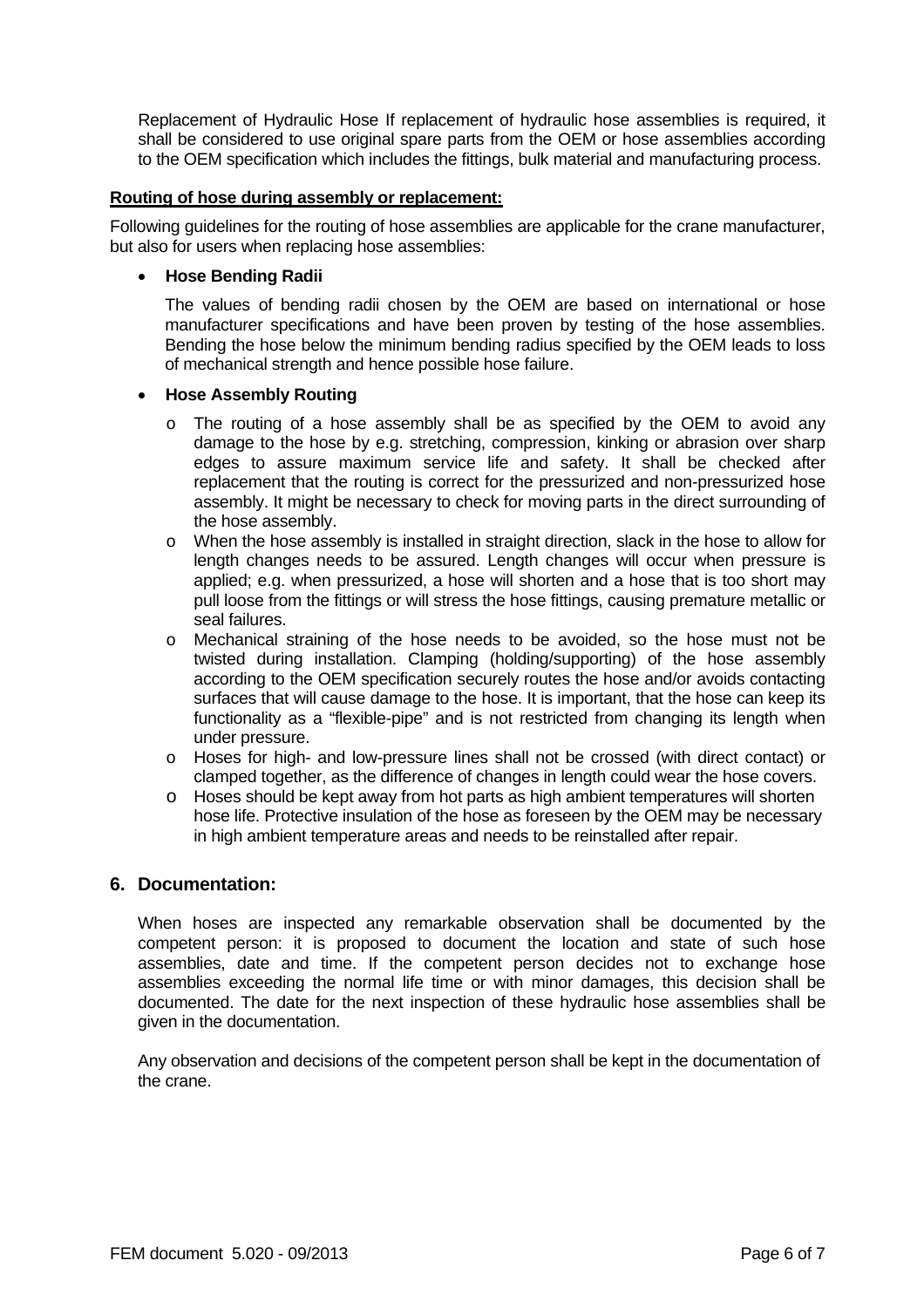Replacement of Hydraulic Hose If replacement of hydraulic hose assemblies is required, it shall be considered to use original spare parts from the OEM or hose assemblies according to the OEM specification which includes the fittings, bulk material and manufacturing process.

#### **Routing of hose during assembly or replacement:**

Following guidelines for the routing of hose assemblies are applicable for the crane manufacturer, but also for users when replacing hose assemblies:

#### **Hose Bending Radii**

The values of bending radii chosen by the OEM are based on international or hose manufacturer specifications and have been proven by testing of the hose assemblies. Bending the hose below the minimum bending radius specified by the OEM leads to loss of mechanical strength and hence possible hose failure.

#### **Hose Assembly Routing**

- $\circ$  The routing of a hose assembly shall be as specified by the OEM to avoid any damage to the hose by e.g. stretching, compression, kinking or abrasion over sharp edges to assure maximum service life and safety. It shall be checked after replacement that the routing is correct for the pressurized and non-pressurized hose assembly. It might be necessary to check for moving parts in the direct surrounding of the hose assembly.
- o When the hose assembly is installed in straight direction, slack in the hose to allow for length changes needs to be assured. Length changes will occur when pressure is applied; e.g. when pressurized, a hose will shorten and a hose that is too short may pull loose from the fittings or will stress the hose fittings, causing premature metallic or seal failures.
- o Mechanical straining of the hose needs to be avoided, so the hose must not be twisted during installation. Clamping (holding/supporting) of the hose assembly according to the OEM specification securely routes the hose and/or avoids contacting surfaces that will cause damage to the hose. It is important, that the hose can keep its functionality as a "flexible-pipe" and is not restricted from changing its length when under pressure.
- o Hoses for high- and low-pressure lines shall not be crossed (with direct contact) or clamped together, as the difference of changes in length could wear the hose covers.
- o Hoses should be kept away from hot parts as high ambient temperatures will shorten hose life. Protective insulation of the hose as foreseen by the OEM may be necessary in high ambient temperature areas and needs to be reinstalled after repair.

### **6. Documentation:**

When hoses are inspected any remarkable observation shall be documented by the competent person: it is proposed to document the location and state of such hose assemblies, date and time. If the competent person decides not to exchange hose assemblies exceeding the normal life time or with minor damages, this decision shall be documented. The date for the next inspection of these hydraulic hose assemblies shall be given in the documentation.

Any observation and decisions of the competent person shall be kept in the documentation of the crane.